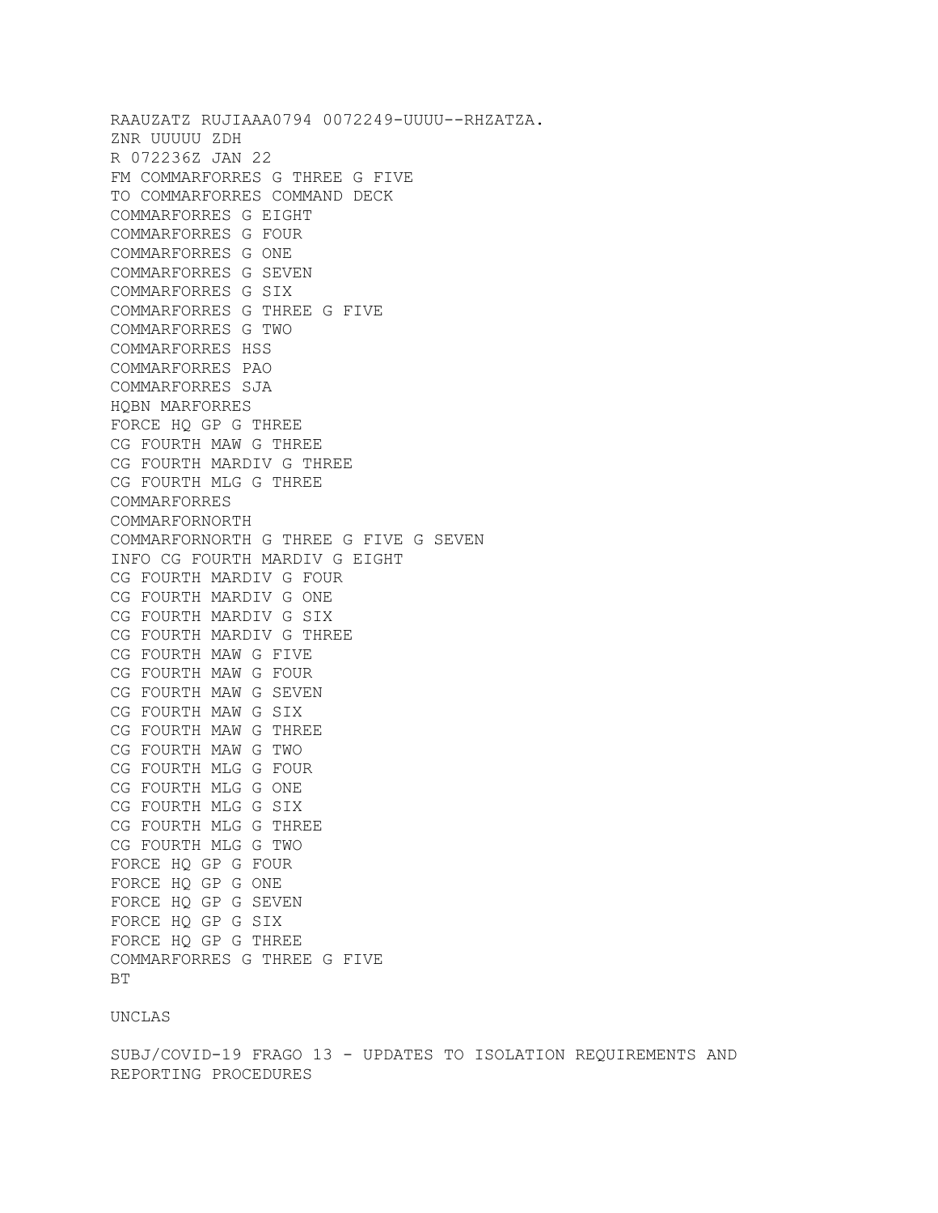RAAUZATZ RUJIAAA0794 0072249-UUUU--RHZATZA. ZNR UUUUU ZDH R 072236Z JAN 22 FM COMMARFORRES G THREE G FIVE TO COMMARFORRES COMMAND DECK COMMARFORRES G EIGHT COMMARFORRES G FOUR COMMARFORRES G ONE COMMARFORRES G SEVEN COMMARFORRES G SIX COMMARFORRES G THREE G FIVE COMMARFORRES G TWO COMMARFORRES HSS COMMARFORRES PAO COMMARFORRES SJA HQBN MARFORRES FORCE HQ GP G THREE CG FOURTH MAW G THREE CG FOURTH MARDIV G THREE CG FOURTH MLG G THREE COMMARFORRES COMMARFORNORTH COMMARFORNORTH G THREE G FIVE G SEVEN INFO CG FOURTH MARDIV G EIGHT CG FOURTH MARDIV G FOUR CG FOURTH MARDIV G ONE CG FOURTH MARDIV G SIX CG FOURTH MARDIV G THREE CG FOURTH MAW G FIVE CG FOURTH MAW G FOUR CG FOURTH MAW G SEVEN CG FOURTH MAW G SIX CG FOURTH MAW G THREE CG FOURTH MAW G TWO CG FOURTH MLG G FOUR CG FOURTH MLG G ONE CG FOURTH MLG G SIX CG FOURTH MLG G THREE CG FOURTH MLG G TWO FORCE HQ GP G FOUR FORCE HQ GP G ONE FORCE HQ GP G SEVEN FORCE HQ GP G SIX FORCE HQ GP G THREE COMMARFORRES G THREE G FIVE **BT** 

## UNCLAS

SUBJ/COVID-19 FRAGO 13 - UPDATES TO ISOLATION REQUIREMENTS AND REPORTING PROCEDURES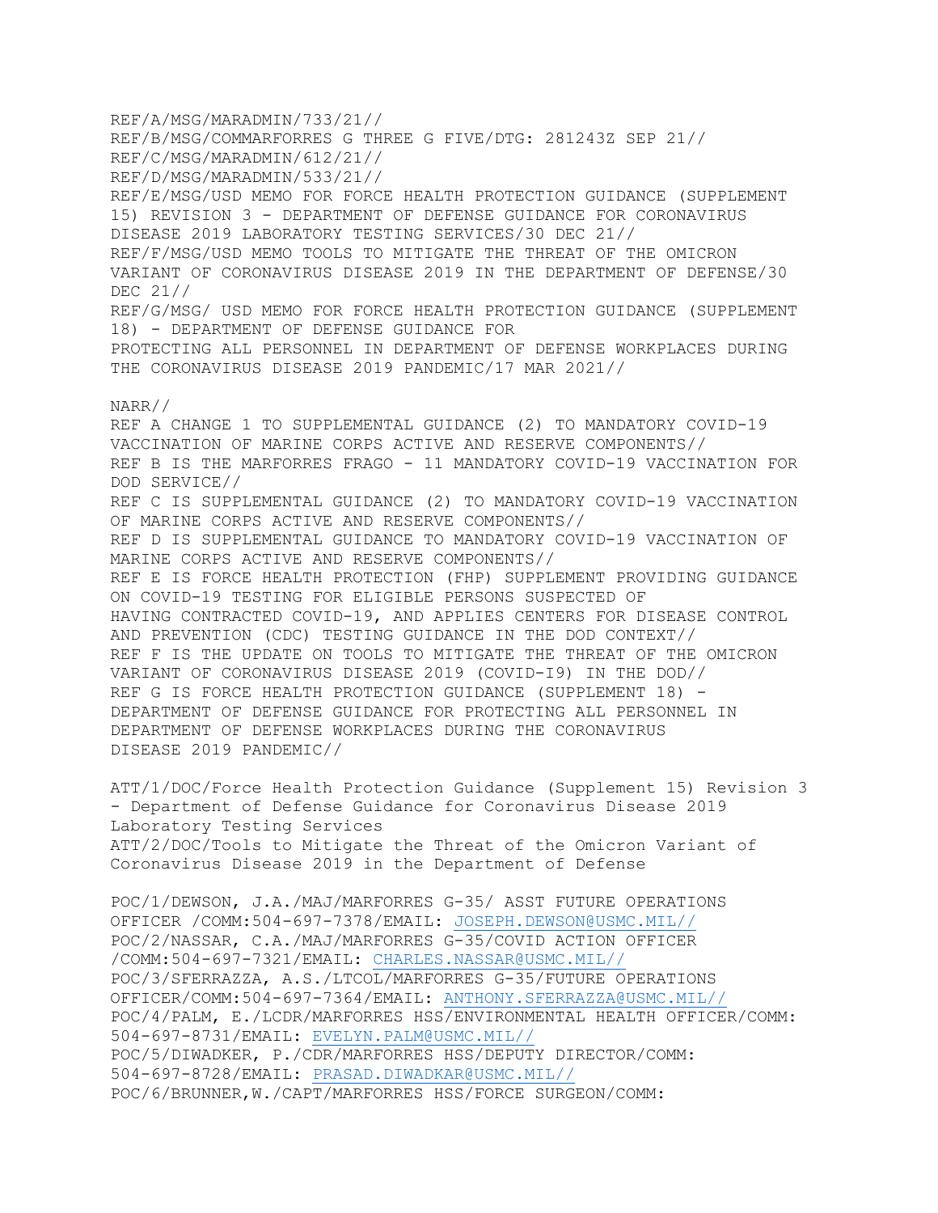REF/A/MSG/MARADMIN/733/21// REF/B/MSG/COMMARFORRES G THREE G FIVE/DTG: 281243Z SEP 21// REF/C/MSG/MARADMIN/612/21// REF/D/MSG/MARADMIN/533/21// REF/E/MSG/USD MEMO FOR FORCE HEALTH PROTECTION GUIDANCE (SUPPLEMENT 15) REVISION 3 - DEPARTMENT OF DEFENSE GUIDANCE FOR CORONAVIRUS DISEASE 2019 LABORATORY TESTING SERVICES/30 DEC 21// REF/F/MSG/USD MEMO TOOLS TO MITIGATE THE THREAT OF THE OMICRON VARIANT OF CORONAVIRUS DISEASE 2019 IN THE DEPARTMENT OF DEFENSE/30 DEC 21// REF/G/MSG/ USD MEMO FOR FORCE HEALTH PROTECTION GUIDANCE (SUPPLEMENT 18) - DEPARTMENT OF DEFENSE GUIDANCE FOR PROTECTING ALL PERSONNEL IN DEPARTMENT OF DEFENSE WORKPLACES DURING THE CORONAVIRUS DISEASE 2019 PANDEMIC/17 MAR 2021// NARR// REF A CHANGE 1 TO SUPPLEMENTAL GUIDANCE (2) TO MANDATORY COVID-19 VACCINATION OF MARINE CORPS ACTIVE AND RESERVE COMPONENTS// REF B IS THE MARFORRES FRAGO - 11 MANDATORY COVID-19 VACCINATION FOR DOD SERVICE// REF C IS SUPPLEMENTAL GUIDANCE (2) TO MANDATORY COVID-19 VACCINATION OF MARINE CORPS ACTIVE AND RESERVE COMPONENTS// REF D IS SUPPLEMENTAL GUIDANCE TO MANDATORY COVID-19 VACCINATION OF MARINE CORPS ACTIVE AND RESERVE COMPONENTS// REF E IS FORCE HEALTH PROTECTION (FHP) SUPPLEMENT PROVIDING GUIDANCE ON COVID-19 TESTING FOR ELIGIBLE PERSONS SUSPECTED OF HAVING CONTRACTED COVID-19, AND APPLIES CENTERS FOR DISEASE CONTROL AND PREVENTION (CDC) TESTING GUIDANCE IN THE DOD CONTEXT// REF F IS THE UPDATE ON TOOLS TO MITIGATE THE THREAT OF THE OMICRON VARIANT OF CORONAVIRUS DISEASE 2019 (COVID-I9) IN THE DOD// REF G IS FORCE HEALTH PROTECTION GUIDANCE (SUPPLEMENT 18) -DEPARTMENT OF DEFENSE GUIDANCE FOR PROTECTING ALL PERSONNEL IN DEPARTMENT OF DEFENSE WORKPLACES DURING THE CORONAVIRUS DISEASE 2019 PANDEMIC// ATT/1/DOC/Force Health Protection Guidance (Supplement 15) Revision 3 - Department of Defense Guidance for Coronavirus Disease 2019 Laboratory Testing Services ATT/2/DOC/Tools to Mitigate the Threat of the Omicron Variant of Coronavirus Disease 2019 in the Department of Defense POC/1/DEWSON, J.A./MAJ/MARFORRES G-35/ ASST FUTURE OPERATIONS OFFICER /COMM:504-697-7378/EMAIL: [JOSEPH.DEWSON@USMC.MIL//](mailto:JOSEPH.DEWSON@USMC.MIL//) POC/2/NASSAR, C.A./MAJ/MARFORRES G-35/COVID ACTION OFFICER /COMM:504-697-7321/EMAIL: [CHARLES.NASSAR@USMC.MIL//](mailto:CHARLES.NASSAR@USMC.MIL//) POC/3/SFERRAZZA, A.S./LTCOL/MARFORRES G-35/FUTURE OPERATIONS OFFICER/COMM:504-697-7364/EMAIL: [ANTHONY.SFERRAZZA@USMC.MIL//](mailto:ANTHONY.SFERRAZZA@USMC.MIL//)

POC/4/PALM, E./LCDR/MARFORRES HSS/ENVIRONMENTAL HEALTH OFFICER/COMM: 504-697-8731/EMAIL: [EVELYN.PALM@USMC.MIL//](mailto:EVELYN.PALM@USMC.MIL//) POC/5/DIWADKER, P./CDR/MARFORRES HSS/DEPUTY DIRECTOR/COMM:

504-697-8728/EMAIL: [PRASAD.DIWADKAR@USMC.MIL//](mailto:PRASAD.DIWADKAR@USMC.MIL//)

POC/6/BRUNNER,W./CAPT/MARFORRES HSS/FORCE SURGEON/COMM: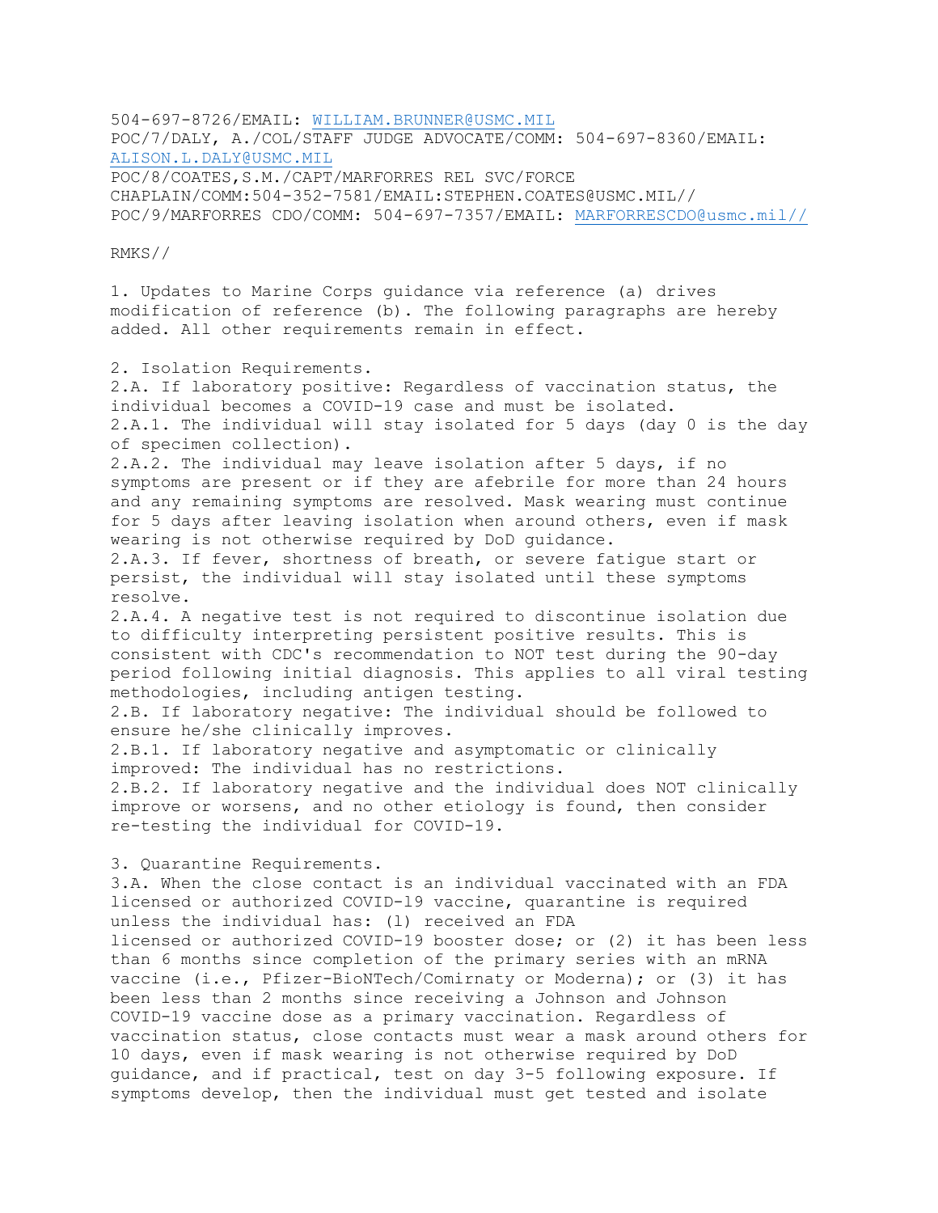504-697-8726/EMAIL: [WILLIAM.BRUNNER@USMC.MIL](mailto:WILLIAM.BRUNNER@USMC.MIL) POC/7/DALY, A./COL/STAFF JUDGE ADVOCATE/COMM: 504-697-8360/EMAIL: [ALISON.L.DALY@USMC.MIL](mailto:ALISON.L.DALY@USMC.MIL) POC/8/COATES,S.M./CAPT/MARFORRES REL SVC/FORCE CHAPLAIN/COMM:504-352-7581/EMAIL:STEPHEN.COATES@USMC.MIL// POC/9/MARFORRES CDO/COMM: 504-697-7357/EMAIL: [MARFORRESCDO@usmc.mil//](mailto:MARFORRESCDO@usmc.mil//)

RMKS//

1. Updates to Marine Corps guidance via reference (a) drives modification of reference (b). The following paragraphs are hereby added. All other requirements remain in effect.

2. Isolation Requirements. 2.A. If laboratory positive: Regardless of vaccination status, the individual becomes a COVID-19 case and must be isolated.

2.A.1. The individual will stay isolated for 5 days (day 0 is the day of specimen collection).

2.A.2. The individual may leave isolation after 5 days, if no symptoms are present or if they are afebrile for more than 24 hours and any remaining symptoms are resolved. Mask wearing must continue for 5 days after leaving isolation when around others, even if mask wearing is not otherwise required by DoD guidance.

2.A.3. If fever, shortness of breath, or severe fatigue start or persist, the individual will stay isolated until these symptoms resolve.

2.A.4. A negative test is not required to discontinue isolation due to difficulty interpreting persistent positive results. This is consistent with CDC's recommendation to NOT test during the 90-day period following initial diagnosis. This applies to all viral testing methodologies, including antigen testing.

2.B. If laboratory negative: The individual should be followed to ensure he/she clinically improves.

2.B.1. If laboratory negative and asymptomatic or clinically improved: The individual has no restrictions.

2.B.2. If laboratory negative and the individual does NOT clinically improve or worsens, and no other etiology is found, then consider re-testing the individual for COVID-19.

3. Quarantine Requirements.

3.A. When the close contact is an individual vaccinated with an FDA licensed or authorized COVID-l9 vaccine, quarantine is required unless the individual has: (l) received an FDA licensed or authorized COVID-19 booster dose; or (2) it has been less than 6 months since completion of the primary series with an mRNA vaccine (i.e., Pfizer-BioNTech/Comirnaty or Moderna); or (3) it has been less than 2 months since receiving a Johnson and Johnson COVID-19 vaccine dose as a primary vaccination. Regardless of vaccination status, close contacts must wear a mask around others for 10 days, even if mask wearing is not otherwise required by DoD guidance, and if practical, test on day 3-5 following exposure. If symptoms develop, then the individual must get tested and isolate